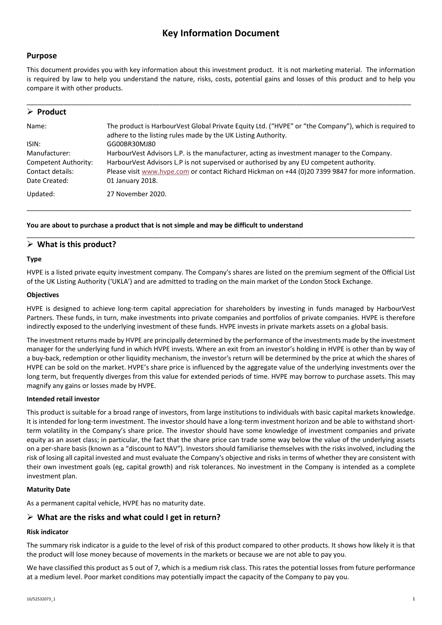# **Key Information Document**

## **Purpose**

This document provides you with key information about this investment product. It is not marketing material. The information is required by law to help you understand the nature, risks, costs, potential gains and losses of this product and to help you compare it with other products.

| $\triangleright$ Product |                                                                                                                                                                        |
|--------------------------|------------------------------------------------------------------------------------------------------------------------------------------------------------------------|
| Name:                    | The product is HarbourVest Global Private Equity Ltd. ("HVPE" or "the Company"), which is required to<br>adhere to the listing rules made by the UK Listing Authority. |
| ISIN:                    | GG00BR30MJ80                                                                                                                                                           |
| Manufacturer:            | HarbourVest Advisors L.P. is the manufacturer, acting as investment manager to the Company.                                                                            |
| Competent Authority:     | HarbourVest Advisors L.P is not supervised or authorised by any EU competent authority.                                                                                |
| Contact details:         | Please visit www.hvpe.com or contact Richard Hickman on +44 (0)20 7399 9847 for more information.                                                                      |
| Date Created:            | 01 January 2018.                                                                                                                                                       |
| Updated:                 | 27 November 2020.                                                                                                                                                      |

\_\_\_\_\_\_\_\_\_\_\_\_\_\_\_\_\_\_\_\_\_\_\_\_\_\_\_\_\_\_\_\_\_\_\_\_\_\_\_\_\_\_\_\_\_\_\_\_\_\_\_\_\_\_\_\_\_\_\_\_\_\_\_\_\_\_\_\_\_\_\_\_\_\_\_\_\_\_\_\_\_\_\_\_\_\_\_\_\_\_\_\_\_\_\_\_\_\_\_\_\_\_\_\_

\_\_\_\_\_\_\_\_\_\_\_\_\_\_\_\_\_\_\_\_\_\_\_\_\_\_\_\_\_\_\_\_\_\_\_\_\_\_\_\_\_\_\_\_\_\_\_\_\_\_\_\_\_\_\_\_\_\_\_\_\_\_\_\_\_\_\_\_\_\_\_\_\_\_\_\_\_\_\_\_\_\_\_\_\_\_\_\_\_\_\_\_\_\_\_\_\_\_\_\_\_\_\_\_\_

#### **You are about to purchase a product that is not simple and may be difficult to understand**

### **What is this product?**

#### **Type**

HVPE is a listed private equity investment company. The Company's shares are listed on the premium segment of the Official List of the UK Listing Authority ('UKLA') and are admitted to trading on the main market of the London Stock Exchange.

#### **Objectives**

HVPE is designed to achieve long-term capital appreciation for shareholders by investing in funds managed by HarbourVest Partners. These funds, in turn, make investments into private companies and portfolios of private companies. HVPE is therefore indirectly exposed to the underlying investment of these funds. HVPE invests in private markets assets on a global basis.

The investment returns made by HVPE are principally determined by the performance of the investments made by the investment manager for the underlying fund in which HVPE invests. Where an exit from an investor's holding in HVPE is other than by way of a buy-back, redemption or other liquidity mechanism, the investor's return will be determined by the price at which the shares of HVPE can be sold on the market. HVPE's share price is influenced by the aggregate value of the underlying investments over the long term, but frequently diverges from this value for extended periods of time. HVPE may borrow to purchase assets. This may magnify any gains or losses made by HVPE.

#### **Intended retail investor**

This product is suitable for a broad range of investors, from large institutions to individuals with basic capital markets knowledge. It is intended for long-term investment. The investor should have a long-term investment horizon and be able to withstand shortterm volatility in the Company's share price. The investor should have some knowledge of investment companies and private equity as an asset class; in particular, the fact that the share price can trade some way below the value of the underlying assets on a per-share basis (known as a "discount to NAV"). Investors should familiarise themselves with the risks involved, including the risk of losing all capital invested and must evaluate the Company's objective and risks in terms of whether they are consistent with their own investment goals (eg, capital growth) and risk tolerances. No investment in the Company is intended as a complete investment plan.

#### **Maturity Date**

As a permanent capital vehicle, HVPE has no maturity date.

## **What are the risks and what could I get in return?**

#### **Risk indicator**

The summary risk indicator is a guide to the level of risk of this product compared to other products. It shows how likely it is that the product will lose money because of movements in the markets or because we are not able to pay you.

We have classified this product as 5 out of 7, which is a medium risk class. This rates the potential losses from future performance at a medium level. Poor market conditions may potentially impact the capacity of the Company to pay you.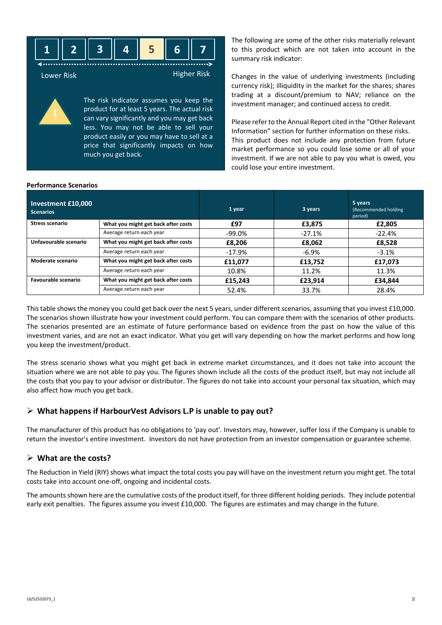

Lower Risk **Higher Risk** Higher Risk

The risk indicator assumes you keep the product for at least 5 years. The actual risk can vary significantly and you may get back less. You may not be able to sell your product easily or you may have to sell at a price that significantly impacts on how much you get back.

The following are some of the other risks materially relevant to this product which are not taken into account in the summary risk indicator:

Changes in the value of underlying investments (including currency risk); illiquidity in the market for the shares; shares trading at a discount/premium to NAV; reliance on the investment manager; and continued access to credit.

Please refer to the Annual Report cited in the "Other Relevant Information" section for further information on these risks. This product does not include any protection from future market performance so you could lose some or all of your investment. If we are not able to pay you what is owed, you could lose your entire investment.

#### **Performance Scenarios**

| Investment £10,000<br><b>Scenarios</b> |                                     | 1 year    | 3 years  | 5 years<br>(Recommended holding<br>period) |
|----------------------------------------|-------------------------------------|-----------|----------|--------------------------------------------|
| <b>Stress scenario</b>                 | What you might get back after costs | £97       | £3,875   | £2,805                                     |
|                                        | Average return each year            | $-99.0\%$ | $-27.1%$ | $-22.4%$                                   |
| Unfavourable scenario                  | What you might get back after costs | £8,206    | £8,062   | £8,528                                     |
|                                        | Average return each year            | -17.9%    | $-6.9\%$ | $-3.1%$                                    |
| Moderate scenario                      | What you might get back after costs | £11.077   | £13,752  | £17,073                                    |
|                                        | Average return each year            | 10.8%     | 11.2%    | 11.3%                                      |
| Favourable scenario                    | What you might get back after costs | £15,243   | £23,914  | £34,844                                    |
|                                        | Average return each year            | 52.4%     | 33.7%    | 28.4%                                      |

This table shows the money you could get back over the next 5 years, under different scenarios, assuming that you invest £10,000. The scenarios shown illustrate how your investment could perform. You can compare them with the scenarios of other products. The scenarios presented are an estimate of future performance based on evidence from the past on how the value of this investment varies, and are not an exact indicator. What you get will vary depending on how the market performs and how long you keep the investment/product.

The stress scenario shows what you might get back in extreme market circumstances, and it does not take into account the situation where we are not able to pay you. The figures shown include all the costs of the product itself, but may not include all the costs that you pay to your advisor or distributor. The figures do not take into account your personal tax situation, which may also affect how much you get back.

## **What happens if HarbourVest Advisors L.P is unable to pay out?**

The manufacturer of this product has no obligations to 'pay out'. Investors may, however, suffer loss if the Company is unable to return the investor's entire investment. Investors do not have protection from an investor compensation or guarantee scheme.

## **What are the costs?**

The Reduction in Yield (RIY) shows what impact the total costs you pay will have on the investment return you might get. The total costs take into account one-off, ongoing and incidental costs.

The amounts shown here are the cumulative costs of the product itself, for three different holding periods. They include potential early exit penalties. The figures assume you invest £10,000. The figures are estimates and may change in the future.